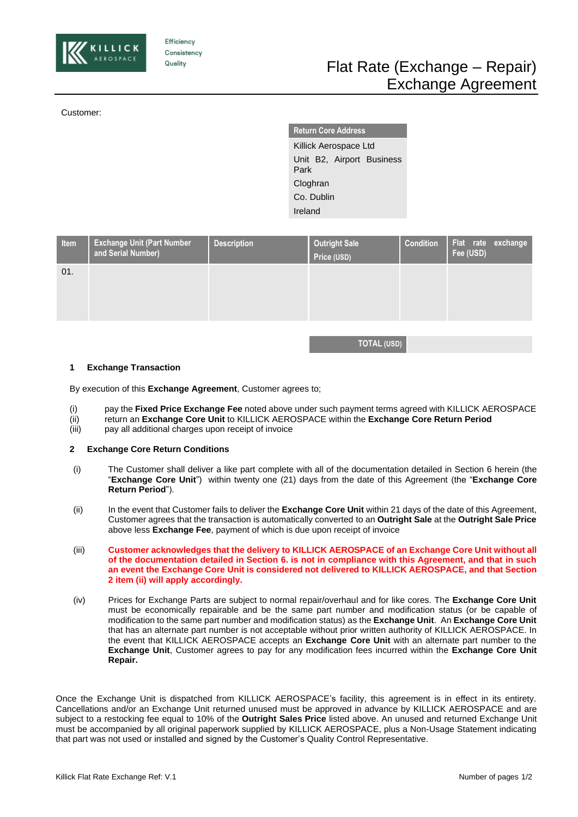

Efficiency Consistency Quality

Customer:

**Return Core Address** Killick Aerospace Ltd Unit B2, Airport Business Park **Cloghran** Co. Dublin Ireland

| Item | <b>Exchange Unit (Part Number</b><br>and Serial Number) | <b>Description</b> | <b>Outright Sale</b><br>Price (USD) | <b>Condition</b> | Flat rate exchange<br>Fee (USD) |
|------|---------------------------------------------------------|--------------------|-------------------------------------|------------------|---------------------------------|
| 01.  |                                                         |                    |                                     |                  |                                 |
|      |                                                         |                    |                                     |                  |                                 |

**TOTAL (USD)**

### **1 Exchange Transaction**

By execution of this **Exchange Agreement**, Customer agrees to;

- (i) pay the **Fixed Price Exchange Fee** noted above under such payment terms agreed with KILLICK AEROSPACE
- (ii) return an **Exchange Core Unit** to KILLICK AEROSPACE within the **Exchange Core Return Period**
- (iii) pay all additional charges upon receipt of invoice

### **2 Exchange Core Return Conditions**

- (i) The Customer shall deliver a like part complete with all of the documentation detailed in Section 6 herein (the "**Exchange Core Unit**") within twenty one (21) days from the date of this Agreement (the "**Exchange Core Return Period**").
- (ii) In the event that Customer fails to deliver the **Exchange Core Unit** within 21 days of the date of this Agreement, Customer agrees that the transaction is automatically converted to an **Outright Sale** at the **Outright Sale Price**  above less **Exchange Fee**, payment of which is due upon receipt of invoice
- (iii) **Customer acknowledges that the delivery to KILLICK AEROSPACE of an Exchange Core Unit without all of the documentation detailed in Section 6. is not in compliance with this Agreement, and that in such an event the Exchange Core Unit is considered not delivered to KILLICK AEROSPACE, and that Section 2 item (ii) will apply accordingly.**
- (iv) Prices for Exchange Parts are subject to normal repair/overhaul and for like cores. The **Exchange Core Unit** must be economically repairable and be the same part number and modification status (or be capable of modification to the same part number and modification status) as the **Exchange Unit**. An **Exchange Core Unit** that has an alternate part number is not acceptable without prior written authority of KILLICK AEROSPACE. In the event that KILLICK AEROSPACE accepts an **Exchange Core Unit** with an alternate part number to the **Exchange Unit**, Customer agrees to pay for any modification fees incurred within the **Exchange Core Unit Repair.**

Once the Exchange Unit is dispatched from KILLICK AEROSPACE's facility, this agreement is in effect in its entirety. Cancellations and/or an Exchange Unit returned unused must be approved in advance by KILLICK AEROSPACE and are subject to a restocking fee equal to 10% of the **Outright Sales Price** listed above. An unused and returned Exchange Unit must be accompanied by all original paperwork supplied by KILLICK AEROSPACE, plus a Non-Usage Statement indicating that part was not used or installed and signed by the Customer's Quality Control Representative.